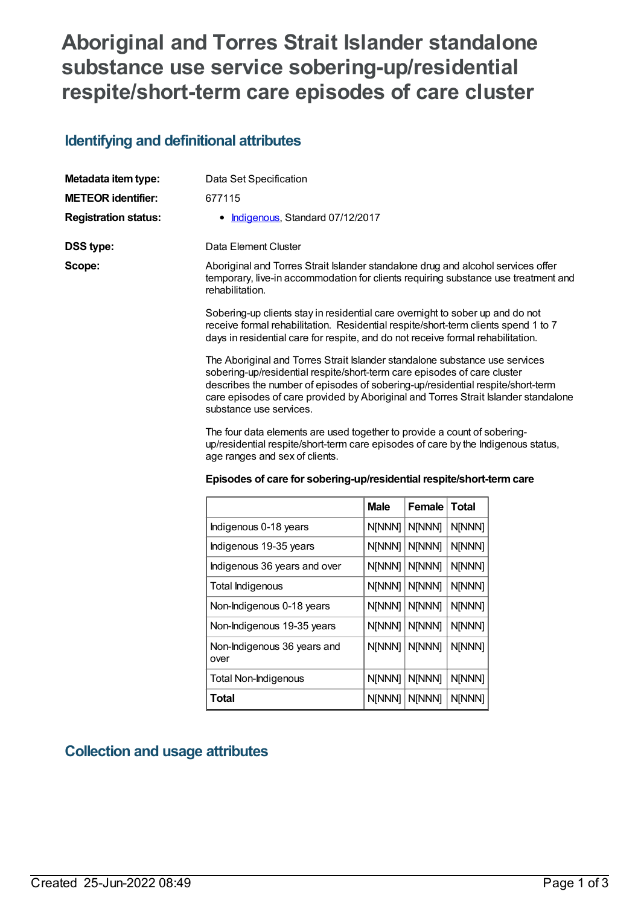# **Aboriginal and Torres Strait Islander standalone substance use service sobering-up/residential respite/short-term care episodes of care cluster**

### **Identifying and definitional attributes**

| Metadata item type:         | Data Set Specification                                                                                                                                                                                                                                                                                                                                     |
|-----------------------------|------------------------------------------------------------------------------------------------------------------------------------------------------------------------------------------------------------------------------------------------------------------------------------------------------------------------------------------------------------|
| <b>METEOR identifier:</b>   | 677115                                                                                                                                                                                                                                                                                                                                                     |
| <b>Registration status:</b> | • Indigenous, Standard 07/12/2017                                                                                                                                                                                                                                                                                                                          |
| DSS type:                   | Data Element Cluster                                                                                                                                                                                                                                                                                                                                       |
| Scope:                      | Aboriginal and Torres Strait Islander standalone drug and alcohol services offer<br>temporary, live-in accommodation for clients requiring substance use treatment and<br>rehabilitation.                                                                                                                                                                  |
|                             | Sobering-up clients stay in residential care overnight to sober up and do not<br>receive formal rehabilitation. Residential respite/short-term clients spend 1 to 7<br>days in residential care for respite, and do not receive formal rehabilitation.                                                                                                     |
|                             | The Aboriginal and Torres Strait Islander standalone substance use services<br>sobering-up/residential respite/short-term care episodes of care cluster<br>describes the number of episodes of sobering-up/residential respite/short-term<br>care episodes of care provided by Aboriginal and Torres Strait Islander standalone<br>substance use services. |
|                             | The four data elements are used together to provide a count of schoring                                                                                                                                                                                                                                                                                    |

The four data elements are used together to provide a count of soberingup/residential respite/short-term care episodes of care by the Indigenous status, age ranges and sex of clients.

| Episodes of care for sobering-up/residential respite/short-term care |
|----------------------------------------------------------------------|
|----------------------------------------------------------------------|

|                                     | <b>Male</b> | Female        | <b>Total</b> |
|-------------------------------------|-------------|---------------|--------------|
| Indigenous 0-18 years               | N[NNN]      | N[NNN]        | N[NNN]       |
| Indigenous 19-35 years              | N[NNN]      | N[NNN]        | N[NNN]       |
| Indigenous 36 years and over        | N[NNN]      | <b>N[NNN]</b> | N[NNN]       |
| Total Indigenous                    | N[NNN]      | <b>N[NNN]</b> | N[NNN]       |
| Non-Indigenous 0-18 years           | N[NNN]      | <b>N[NNN]</b> | N[NNN]       |
| Non-Indigenous 19-35 years          | N[NNN]      | <b>N[NNN]</b> | N[NNN]       |
| Non-Indigenous 36 years and<br>over | N[NNN]      | N[NNN]        | N[NNN]       |
| <b>Total Non-Indigenous</b>         | N[NNN]      | <b>N[NNN]</b> | N[NNN]       |
| Total                               | N[NNN]      | <b>N[NNN]</b> | N[NNN]       |

### **Collection and usage attributes**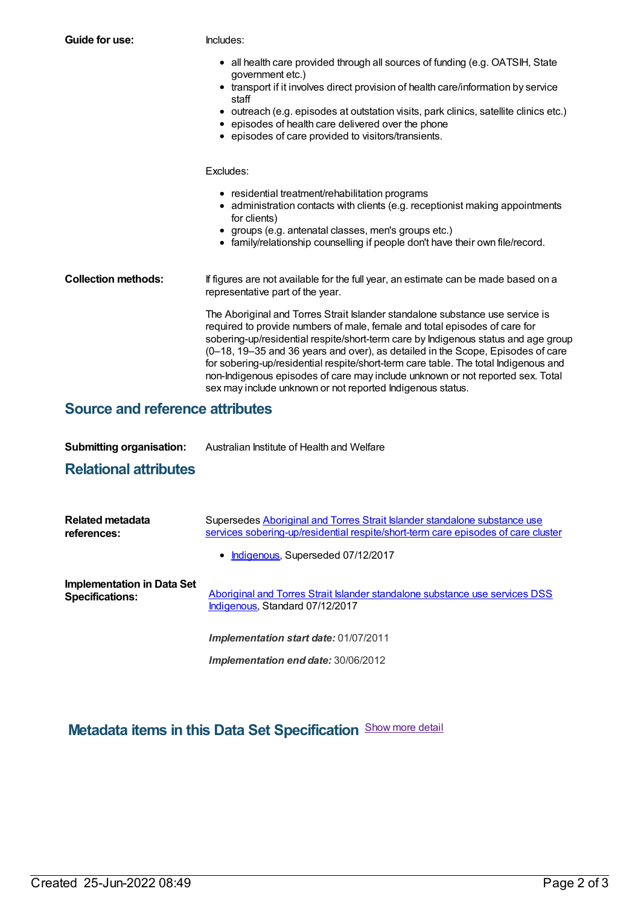| Guide for use:             | Includes:                                                                                                                                                                                                                                                                                                                                                                                                                                                                                                                                                                   |  |  |
|----------------------------|-----------------------------------------------------------------------------------------------------------------------------------------------------------------------------------------------------------------------------------------------------------------------------------------------------------------------------------------------------------------------------------------------------------------------------------------------------------------------------------------------------------------------------------------------------------------------------|--|--|
|                            | • all health care provided through all sources of funding (e.g. OATSIH, State<br>government etc.)<br>• transport if it involves direct provision of health care/information by service<br>staff                                                                                                                                                                                                                                                                                                                                                                             |  |  |
|                            | • outreach (e.g. episodes at outstation visits, park clinics, satellite clinics etc.)<br>• episodes of health care delivered over the phone<br>• episodes of care provided to visitors/transients.                                                                                                                                                                                                                                                                                                                                                                          |  |  |
|                            | Excludes:                                                                                                                                                                                                                                                                                                                                                                                                                                                                                                                                                                   |  |  |
|                            | • residential treatment/rehabilitation programs<br>• administration contacts with clients (e.g. receptionist making appointments<br>for clients)<br>• groups (e.g. antenatal classes, men's groups etc.)<br>• family/relationship counselling if people don't have their own file/record.                                                                                                                                                                                                                                                                                   |  |  |
| <b>Collection methods:</b> | If figures are not available for the full year, an estimate can be made based on a<br>representative part of the year.                                                                                                                                                                                                                                                                                                                                                                                                                                                      |  |  |
|                            | The Aboriginal and Torres Strait Islander standalone substance use service is<br>required to provide numbers of male, female and total episodes of care for<br>sobering-up/residential respite/short-term care by Indigenous status and age group<br>(0-18, 19-35 and 36 years and over), as detailed in the Scope, Episodes of care<br>for sobering-up/residential respite/short-term care table. The total Indigenous and<br>non-Indigenous episodes of care may include unknown or not reported sex. Total<br>sex may include unknown or not reported Indigenous status. |  |  |

# **Source and reference attributes**

| <b>Submitting organisation:</b> | Australian Institute of Health and Welfare |
|---------------------------------|--------------------------------------------|
|---------------------------------|--------------------------------------------|

## **Relational attributes**

| Related metadata<br>references:                      | Supersedes Aboriginal and Torres Strait Islander standalone substance use<br>services sobering-up/residential respite/short-term care episodes of care cluster |  |
|------------------------------------------------------|----------------------------------------------------------------------------------------------------------------------------------------------------------------|--|
|                                                      | • Indigenous, Superseded 07/12/2017                                                                                                                            |  |
| Implementation in Data Set<br><b>Specifications:</b> | Aboriginal and Torres Strait Islander standalone substance use services DSS<br>Indigenous, Standard 07/12/2017                                                 |  |
|                                                      | <b>Implementation start date: 01/07/2011</b>                                                                                                                   |  |
|                                                      | <b>Implementation end date: 30/06/2012</b>                                                                                                                     |  |

**Metadata items in this Data Set Specification** Show more detail